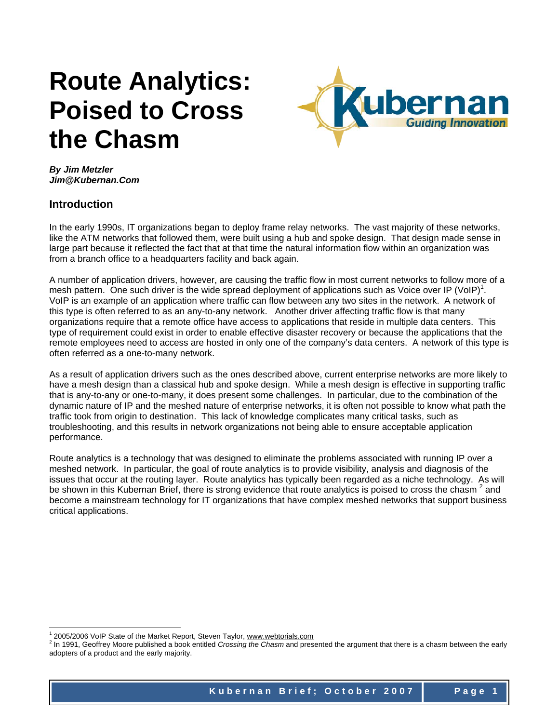# **Route Analytics: Poised to Cross the Chasm**



*By Jim Metzler Jim@Kubernan.Com* 

### **Introduction**

l

In the early 1990s, IT organizations began to deploy frame relay networks. The vast majority of these networks, like the ATM networks that followed them, were built using a hub and spoke design. That design made sense in large part because it reflected the fact that at that time the natural information flow within an organization was from a branch office to a headquarters facility and back again.

A number of application drivers, however, are causing the traffic flow in most current networks to follow more of a mesh pattern. One such driver is the wide spread deployment of applications such as Voice over IP (VoIP)<sup>1</sup>. VoIP is an example of an application where traffic can flow between any two sites in the network. A network of this type is often referred to as an any-to-any network. Another driver affecting traffic flow is that many organizations require that a remote office have access to applications that reside in multiple data centers. This type of requirement could exist in order to enable effective disaster recovery or because the applications that the remote employees need to access are hosted in only one of the company's data centers. A network of this type is often referred as a one-to-many network.

As a result of application drivers such as the ones described above, current enterprise networks are more likely to have a mesh design than a classical hub and spoke design. While a mesh design is effective in supporting traffic that is any-to-any or one-to-many, it does present some challenges. In particular, due to the combination of the dynamic nature of IP and the meshed nature of enterprise networks, it is often not possible to know what path the traffic took from origin to destination. This lack of knowledge complicates many critical tasks, such as troubleshooting, and this results in network organizations not being able to ensure acceptable application performance.

Route analytics is a technology that was designed to eliminate the problems associated with running IP over a meshed network. In particular, the goal of route analytics is to provide visibility, analysis and diagnosis of the issues that occur at the routing layer. Route analytics has typically been regarded as a niche technology. As will be shown in this Kubernan Brief, there is strong evidence that route analytics is poised to cross the chasm<sup>2</sup> and become a mainstream technology for IT organizations that have complex meshed networks that support business critical applications.

<sup>&</sup>lt;sup>1</sup> 2005/2006 VoIP State of the Market Report, Steven Taylor, www.webtorials.com

<sup>2</sup> In 1991, Geoffrey Moore published a book entitled *Crossing the Chasm* and presented the argument that there is a chasm between the early adopters of a product and the early majority.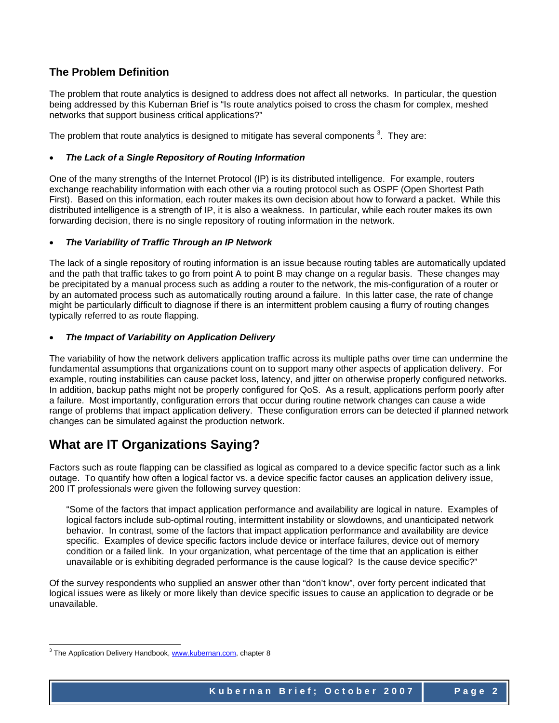## **The Problem Definition**

The problem that route analytics is designed to address does not affect all networks. In particular, the question being addressed by this Kubernan Brief is "Is route analytics poised to cross the chasm for complex, meshed networks that support business critical applications?"

The problem that route analytics is designed to mitigate has several components  $3$ . They are:

#### • *The Lack of a Single Repository of Routing Information*

One of the many strengths of the Internet Protocol (IP) is its distributed intelligence. For example, routers exchange reachability information with each other via a routing protocol such as OSPF (Open Shortest Path First). Based on this information, each router makes its own decision about how to forward a packet. While this distributed intelligence is a strength of IP, it is also a weakness. In particular, while each router makes its own forwarding decision, there is no single repository of routing information in the network.

#### • *The Variability of Traffic Through an IP Network*

The lack of a single repository of routing information is an issue because routing tables are automatically updated and the path that traffic takes to go from point A to point B may change on a regular basis. These changes may be precipitated by a manual process such as adding a router to the network, the mis-configuration of a router or by an automated process such as automatically routing around a failure. In this latter case, the rate of change might be particularly difficult to diagnose if there is an intermittent problem causing a flurry of routing changes typically referred to as route flapping.

#### • *The Impact of Variability on Application Delivery*

The variability of how the network delivers application traffic across its multiple paths over time can undermine the fundamental assumptions that organizations count on to support many other aspects of application delivery. For example, routing instabilities can cause packet loss, latency, and jitter on otherwise properly configured networks. In addition, backup paths might not be properly configured for QoS. As a result, applications perform poorly after a failure. Most importantly, configuration errors that occur during routine network changes can cause a wide range of problems that impact application delivery. These configuration errors can be detected if planned network changes can be simulated against the production network.

## **What are IT Organizations Saying?**

Factors such as route flapping can be classified as logical as compared to a device specific factor such as a link outage. To quantify how often a logical factor vs. a device specific factor causes an application delivery issue, 200 IT professionals were given the following survey question:

"Some of the factors that impact application performance and availability are logical in nature. Examples of logical factors include sub-optimal routing, intermittent instability or slowdowns, and unanticipated network behavior. In contrast, some of the factors that impact application performance and availability are device specific. Examples of device specific factors include device or interface failures, device out of memory condition or a failed link. In your organization, what percentage of the time that an application is either unavailable or is exhibiting degraded performance is the cause logical? Is the cause device specific?"

Of the survey respondents who supplied an answer other than "don't know", over forty percent indicated that logical issues were as likely or more likely than device specific issues to cause an application to degrade or be unavailable.

l

<sup>&</sup>lt;sup>3</sup> The Application Delivery Handbook, www.kubernan.com, chapter 8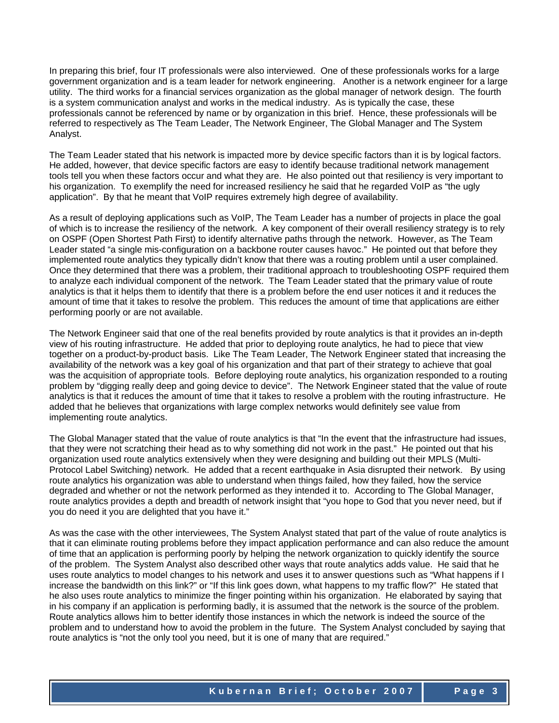In preparing this brief, four IT professionals were also interviewed. One of these professionals works for a large government organization and is a team leader for network engineering. Another is a network engineer for a large utility. The third works for a financial services organization as the global manager of network design. The fourth is a system communication analyst and works in the medical industry. As is typically the case, these professionals cannot be referenced by name or by organization in this brief. Hence, these professionals will be referred to respectively as The Team Leader, The Network Engineer, The Global Manager and The System Analyst.

The Team Leader stated that his network is impacted more by device specific factors than it is by logical factors. He added, however, that device specific factors are easy to identify because traditional network management tools tell you when these factors occur and what they are. He also pointed out that resiliency is very important to his organization. To exemplify the need for increased resiliency he said that he regarded VoIP as "the ugly application". By that he meant that VoIP requires extremely high degree of availability.

As a result of deploying applications such as VoIP, The Team Leader has a number of projects in place the goal of which is to increase the resiliency of the network. A key component of their overall resiliency strategy is to rely on OSPF (Open Shortest Path First) to identify alternative paths through the network. However, as The Team Leader stated "a single mis-configuration on a backbone router causes havoc." He pointed out that before they implemented route analytics they typically didn't know that there was a routing problem until a user complained. Once they determined that there was a problem, their traditional approach to troubleshooting OSPF required them to analyze each individual component of the network. The Team Leader stated that the primary value of route analytics is that it helps them to identify that there is a problem before the end user notices it and it reduces the amount of time that it takes to resolve the problem. This reduces the amount of time that applications are either performing poorly or are not available.

The Network Engineer said that one of the real benefits provided by route analytics is that it provides an in-depth view of his routing infrastructure. He added that prior to deploying route analytics, he had to piece that view together on a product-by-product basis. Like The Team Leader, The Network Engineer stated that increasing the availability of the network was a key goal of his organization and that part of their strategy to achieve that goal was the acquisition of appropriate tools. Before deploying route analytics, his organization responded to a routing problem by "digging really deep and going device to device". The Network Engineer stated that the value of route analytics is that it reduces the amount of time that it takes to resolve a problem with the routing infrastructure. He added that he believes that organizations with large complex networks would definitely see value from implementing route analytics.

The Global Manager stated that the value of route analytics is that "In the event that the infrastructure had issues, that they were not scratching their head as to why something did not work in the past." He pointed out that his organization used route analytics extensively when they were designing and building out their MPLS (Multi-Protocol Label Switching) network. He added that a recent earthquake in Asia disrupted their network. By using route analytics his organization was able to understand when things failed, how they failed, how the service degraded and whether or not the network performed as they intended it to. According to The Global Manager, route analytics provides a depth and breadth of network insight that "you hope to God that you never need, but if you do need it you are delighted that you have it."

As was the case with the other interviewees, The System Analyst stated that part of the value of route analytics is that it can eliminate routing problems before they impact application performance and can also reduce the amount of time that an application is performing poorly by helping the network organization to quickly identify the source of the problem. The System Analyst also described other ways that route analytics adds value. He said that he uses route analytics to model changes to his network and uses it to answer questions such as "What happens if I increase the bandwidth on this link?" or "If this link goes down, what happens to my traffic flow?" He stated that he also uses route analytics to minimize the finger pointing within his organization. He elaborated by saying that in his company if an application is performing badly, it is assumed that the network is the source of the problem. Route analytics allows him to better identify those instances in which the network is indeed the source of the problem and to understand how to avoid the problem in the future. The System Analyst concluded by saying that route analytics is "not the only tool you need, but it is one of many that are required."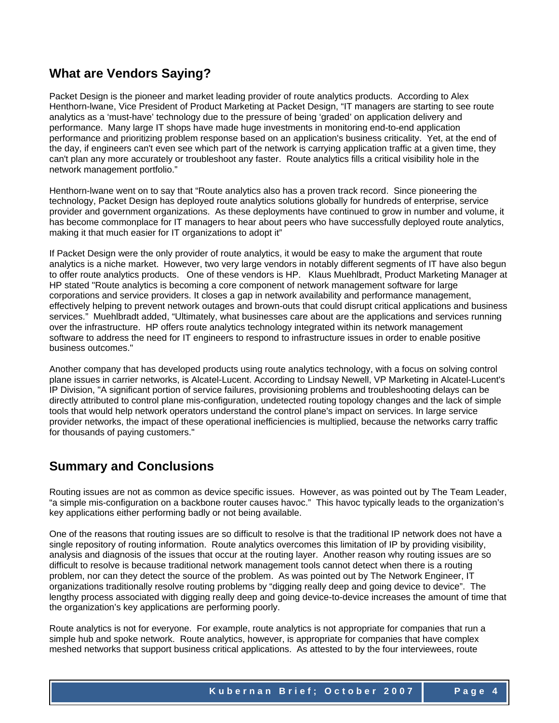## **What are Vendors Saying?**

Packet Design is the pioneer and market leading provider of route analytics products. According to Alex Henthorn-lwane, Vice President of Product Marketing at Packet Design, "IT managers are starting to see route analytics as a 'must-have' technology due to the pressure of being 'graded' on application delivery and performance. Many large IT shops have made huge investments in monitoring end-to-end application performance and prioritizing problem response based on an application's business criticality. Yet, at the end of the day, if engineers can't even see which part of the network is carrying application traffic at a given time, they can't plan any more accurately or troubleshoot any faster. Route analytics fills a critical visibility hole in the network management portfolio."

Henthorn-lwane went on to say that "Route analytics also has a proven track record. Since pioneering the technology, Packet Design has deployed route analytics solutions globally for hundreds of enterprise, service provider and government organizations. As these deployments have continued to grow in number and volume, it has become commonplace for IT managers to hear about peers who have successfully deployed route analytics, making it that much easier for IT organizations to adopt it"

If Packet Design were the only provider of route analytics, it would be easy to make the argument that route analytics is a niche market. However, two very large vendors in notably different segments of IT have also begun to offer route analytics products. One of these vendors is HP. Klaus Muehlbradt, Product Marketing Manager at HP stated "Route analytics is becoming a core component of network management software for large corporations and service providers. It closes a gap in network availability and performance management, effectively helping to prevent network outages and brown-outs that could disrupt critical applications and business services." Muehlbradt added, "Ultimately, what businesses care about are the applications and services running over the infrastructure. HP offers route analytics technology integrated within its network management software to address the need for IT engineers to respond to infrastructure issues in order to enable positive business outcomes."

Another company that has developed products using route analytics technology, with a focus on solving control plane issues in carrier networks, is Alcatel-Lucent. According to Lindsay Newell, VP Marketing in Alcatel-Lucent's IP Division, "A significant portion of service failures, provisioning problems and troubleshooting delays can be directly attributed to control plane mis-configuration, undetected routing topology changes and the lack of simple tools that would help network operators understand the control plane's impact on services. In large service provider networks, the impact of these operational inefficiencies is multiplied, because the networks carry traffic for thousands of paying customers."

# **Summary and Conclusions**

Routing issues are not as common as device specific issues. However, as was pointed out by The Team Leader, "a simple mis-configuration on a backbone router causes havoc." This havoc typically leads to the organization's key applications either performing badly or not being available.

One of the reasons that routing issues are so difficult to resolve is that the traditional IP network does not have a single repository of routing information. Route analytics overcomes this limitation of IP by providing visibility, analysis and diagnosis of the issues that occur at the routing layer. Another reason why routing issues are so difficult to resolve is because traditional network management tools cannot detect when there is a routing problem, nor can they detect the source of the problem. As was pointed out by The Network Engineer, IT organizations traditionally resolve routing problems by "digging really deep and going device to device". The lengthy process associated with digging really deep and going device-to-device increases the amount of time that the organization's key applications are performing poorly.

Route analytics is not for everyone. For example, route analytics is not appropriate for companies that run a simple hub and spoke network. Route analytics, however, is appropriate for companies that have complex meshed networks that support business critical applications. As attested to by the four interviewees, route